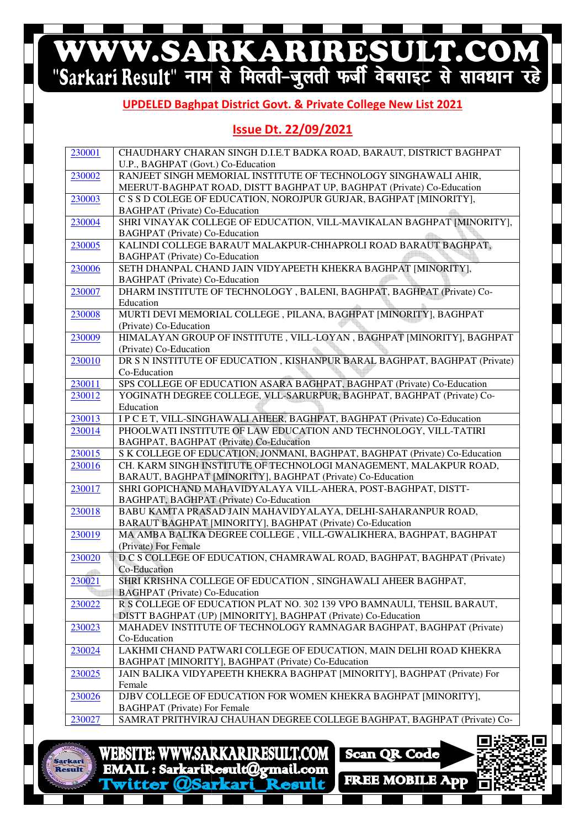# WWW.SARKARIRESULT.COM

#### **UPDELED Baghpat Baghpat District Govt. & Private College New List 2021**

#### **Issue Dt. 22/09/2021**

| 230001 | CHAUDHARY CHARAN SINGH D.I.E.T BADKA ROAD, BARAUT, DISTRICT BAGHPAT                                   |
|--------|-------------------------------------------------------------------------------------------------------|
|        | U.P., BAGHPAT (Govt.) Co-Education                                                                    |
| 230002 | RANJEET SINGH MEMORIAL INSTITUTE OF TECHNOLOGY SINGHAWALI AHIR,                                       |
|        | MEERUT-BAGHPAT ROAD, DISTT BAGHPAT UP, BAGHPAT (Private) Co-Education                                 |
| 230003 | C S S D COLEGE OF EDUCATION, NOROJPUR GURJAR, BAGHPAT [MINORITY],                                     |
|        | <b>BAGHPAT</b> (Private) Co-Education                                                                 |
| 230004 | SHRI VINAYAK COLLEGE OF EDUCATION, VILL-MAVIKALAN BAGHPAT [MINORITY],                                 |
|        | <b>BAGHPAT</b> (Private) Co-Education                                                                 |
| 230005 | KALINDI COLLEGE BARAUT MALAKPUR-CHHAPROLI ROAD BARAUT BAGHPAT,                                        |
|        | <b>BAGHPAT</b> (Private) Co-Education                                                                 |
| 230006 | SETH DHANPAL CHAND JAIN VIDYAPEETH KHEKRA BAGHPAT [MINORITY],                                         |
|        | <b>BAGHPAT</b> (Private) Co-Education                                                                 |
| 230007 | DHARM INSTITUTE OF TECHNOLOGY, BALENI, BAGHPAT, BAGHPAT (Private) Co-                                 |
|        | Education                                                                                             |
| 230008 | MURTI DEVI MEMORIAL COLLEGE, PILANA, BAGHPAT [MINORITY], BAGHPAT                                      |
|        | (Private) Co-Education                                                                                |
| 230009 | HIMALAYAN GROUP OF INSTITUTE, VILL-LOYAN, BAGHPAT [MINORITY], BAGHPAT<br>(Private) Co-Education       |
| 230010 | DR S N INSTITUTE OF EDUCATION, KISHANPUR BARAL BAGHPAT, BAGHPAT (Private)                             |
|        | Co-Education                                                                                          |
| 230011 | SPS COLLEGE OF EDUCATION ASARA BAGHPAT, BAGHPAT (Private) Co-Education                                |
| 230012 | YOGINATH DEGREE COLLEGE, VLL-SARURPUR, BAGHPAT, BAGHPAT (Private) Co-                                 |
|        | Education                                                                                             |
| 230013 | I P C E T, VILL-SINGHAWALI AHEER, BAGHPAT, BAGHPAT (Private) Co-Education                             |
| 230014 | PHOOLWATI INSTITUTE OF LAW EDUCATION AND TECHNOLOGY, VILL-TATIRI                                      |
|        | BAGHPAT, BAGHPAT (Private) Co-Education                                                               |
| 230015 | S K COLLEGE OF EDUCATION, JONMANI, BAGHPAT, BAGHPAT (Private) Co-Education                            |
| 230016 | CH. KARM SINGH INSTITUTE OF TECHNOLOGI MANAGEMENT, MALAKPUR ROAD,                                     |
|        | BARAUT, BAGHPAT [MINORITY], BAGHPAT (Private) Co-Education                                            |
| 230017 | SHRI GOPICHAND MAHAVIDYALAYA VILL-AHERA, POST-BAGHPAT, DISTT-                                         |
|        | BAGHPAT, BAGHPAT (Private) Co-Education                                                               |
| 230018 | BABU KAMTA PRASAD JAIN MAHAVIDYALAYA, DELHI-SAHARANPUR ROAD,                                          |
|        | BARAUT BAGHPAT [MINORITY], BAGHPAT (Private) Co-Education                                             |
| 230019 | MA AMBA BALIKA DEGREE COLLEGE, VILL-GWALIKHERA, BAGHPAT, BAGHPAT                                      |
|        | (Private) For Female                                                                                  |
| 230020 | D C S COLLEGE OF EDUCATION, CHAMRAWAL ROAD, BAGHPAT, BAGHPAT (Private)                                |
|        | Co-Education                                                                                          |
| 230021 | SHRI KRISHNA COLLEGE OF EDUCATION, SINGHAWALI AHEER BAGHPAT,<br><b>BAGHPAT</b> (Private) Co-Education |
| 230022 | R S COLLEGE OF EDUCATION PLAT NO. 302 139 VPO BAMNAULI, TEHSIL BARAUT,                                |
|        | DISTT BAGHPAT (UP) [MINORITY], BAGHPAT (Private) Co-Education                                         |
| 230023 | MAHADEV INSTITUTE OF TECHNOLOGY RAMNAGAR BAGHPAT, BAGHPAT (Private)                                   |
|        | Co-Education                                                                                          |
| 230024 | LAKHMI CHAND PATWARI COLLEGE OF EDUCATION, MAIN DELHI ROAD KHEKRA                                     |
|        | BAGHPAT [MINORITY], BAGHPAT (Private) Co-Education                                                    |
| 230025 | JAIN BALIKA VIDYAPEETH KHEKRA BAGHPAT [MINORITY], BAGHPAT (Private) For                               |
|        | Female                                                                                                |
| 230026 | DJBV COLLEGE OF EDUCATION FOR WOMEN KHEKRA BAGHPAT [MINORITY],                                        |
|        | <b>BAGHPAT</b> (Private) For Female                                                                   |
| 230027 | SAMRAT PRITHVIRAJ CHAUHAN DEGREE COLLEGE BAGHPAT, BAGHPAT (Private) Co-                               |
|        |                                                                                                       |



**WWW.SARKARIRESULT.COM WEBSITE:** EMAIL: SarkariResult@gmail.com